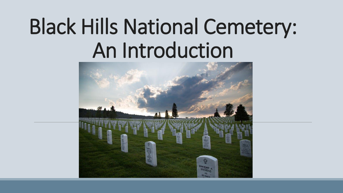# Black Hills National Cemetery: An Introduction

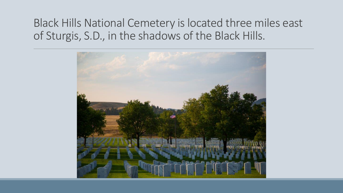#### Black Hills National Cemetery is located three miles east of Sturgis, S.D., in the shadows of the Black Hills.

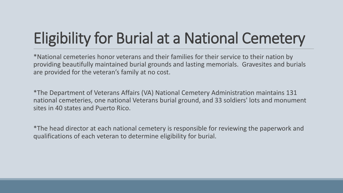### Eligibility for Burial at a National Cemetery

 providing beautifully maintained burial grounds and lasting memorials. Gravesites and burials are provided for the veteran's family at no cost. \*National cemeteries honor veterans and their families for their service to their nation by

 \*The Department of Veterans Affairs (VA) National Cemetery Administration maintains 131 national cemeteries, one national Veterans burial ground, and 33 soldiers' lots and monument sites in 40 states and Puerto Rico.

 \*The head director at each national cemetery is responsible for reviewing the paperwork and qualifications of each veteran to determine eligibility for burial.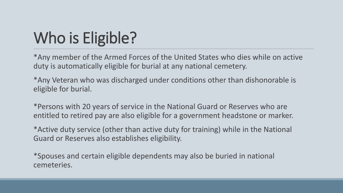# Who is Eligible?

 \*Any member of the Armed Forces of the United States who dies while on active duty is automatically eligible for burial at any national cemetery.

 \*Any Veteran who was discharged under conditions other than dishonorable is eligible for burial.

 \*Persons with 20 years of service in the National Guard or Reserves who are entitled to retired pay are also eligible for a government headstone or marker.

Guard or Reserves also establishes eligibility. \*Active duty service (other than active duty for training) while in the National

\*Spouses and certain eligible dependents may also be buried in national cemeteries.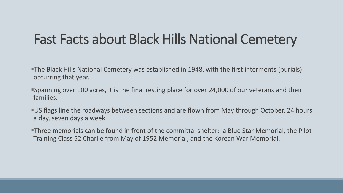#### Fast Facts about Black Hills National Cemetery

- The Black Hills National Cemetery was established in 1948, with the first interments (burials) occurring that year.
- Spanning over 100 acres, it is the final resting place for over 24,000 of our veterans and their families.
- US flags line the roadways between sections and are flown from May through October, 24 hours a day, seven days a week.
- Three memorials can be found in front of the committal shelter: a Blue Star Memorial, the Pilot Training Class 52 Charlie from May of 1952 Memorial, and the Korean War Memorial.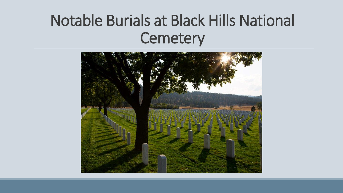### Notable Burials at Black Hills National **Cemetery**

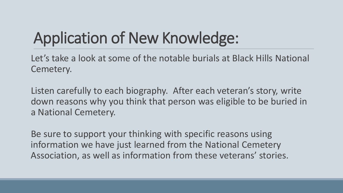# Application of New Knowledge:

 Let's take a look at some of the notable burials at Black Hills National Cemetery.

 Listen carefully to each biography. After each veteran's story, write down reasons why you think that person was eligible to be buried in a National Cemetery.

 Be sure to support your thinking with specific reasons using information we have just learned from the National Cemetery Association, as well as information from these veterans' stories.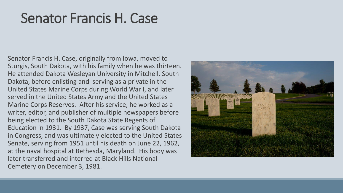#### Senator Francis H. Case

 Senator Francis H. Case, originally from Iowa, moved to Sturgis, South Dakota, with his family when he was thirteen. Dakota, before enlisting and serving as a private in the United States Marine Corps during World War I, and later Marine Corps Reserves. After his service, he worked as a writer, editor, and publisher of multiple newspapers before being elected to the South Dakota State Regents of Education in 1931. By 1937, Case was serving South Dakota Senate, serving from 1951 until his death on June 22, 1962, at the naval hospital at Bethesda, Maryland. His body was later transferred and interred at Black Hills National He attended Dakota Wesleyan University in Mitchell, South served in the United States Army and the United States in Congress, and was ultimately elected to the United States Cemetery on December 3, 1981.

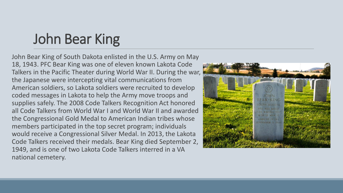### John Bear King

 John Bear King of South Dakota enlisted in the U.S. Army on May 18, 1943. PFC Bear King was one of eleven known Lakota Code Talkers in the Pacific Theater during World War II. During the war, the Japanese were intercepting vital communications from American soldiers, so Lakota soldiers were recruited to develop coded messages in Lakota to help the Army move troops and supplies safely. The 2008 Code Talkers Recognition Act honored all Code Talkers from World War I and World War II and awarded the Congressional Gold Medal to American Indian tribes whose members participated in the top secret program; individuals would receive a Congressional Silver Medal. In 2013, the Lakota Code Talkers received their medals. Bear King died September 2, 1949, and is one of two Lakota Code Talkers interred in a VA national cemetery.

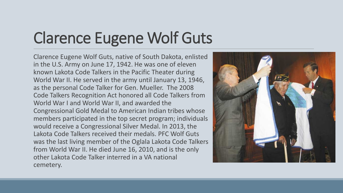# Clarence Eugene Wolf Guts

 Clarence Eugene Wolf Guts, native of South Dakota, enlisted in the U.S. Army on June 17, 1942. He was one of eleven known Lakota Code Talkers in the Pacific Theater during World War II. He served in the army until January 13, 1946, as the personal Code Talker for Gen. Mueller. The 2008 Code Talkers Recognition Act honored all Code Talkers from World War I and World War II, and awarded the Congressional Gold Medal to American Indian tribes whose members participated in the top secret program; individuals would receive a Congressional Silver Medal. In 2013, the Lakota Code Talkers received their medals. PFC Wolf Guts was the last living member of the Oglala Lakota Code Talkers from World War II. He died June 16, 2010, and is the only other Lakota Code Talker interred in a VA national cemetery.

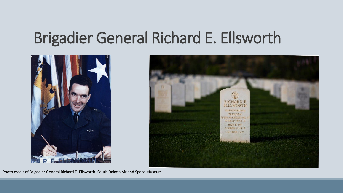### Brigadier General Richard E. Ellsworth





Photo credit of Brigadier General Richard E. Ellsworth: South Dakota Air and Space Museum.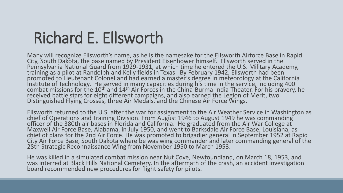### Richard E. Ellsworth

 Many will recognize Ellsworth's name, as he is the namesake for the Ellsworth Airforce Base in Rapid City, South Dakota, the base named by President Eisenhower himself. Ellsworth served in the Pennsylvania National Guard from 1929-1931, at which time he entered the U.S. Military Academy,<br>training as a pilot at Randolph and Kelly fields in Texas. By February 1942, Ellsworth had been promoted to Lieutenant Colonel and had earned a master's degree in meteorology at the California Institute of Technology. He served in many capacities during his time in the service, including 400 combat missions for the 10<sup>th</sup> and 14<sup>th</sup> Air Forces in the China-Burma-India Theater. For his bravery, he<br>received battle stars for eight different campaigns, and also earned the Legion of Merit, two received battle stars for eight different campaigns, and also earned the Legion of Merit, two<br>Distinguished Flying Crosses, three Air Medals, and the Chinese Air Force Wings.

 chief of Operations and Training Division. From August 1946 to August 1949 he was commanding Ellsworth returned to the U.S. after the war for assignment to the Air Weather Service in Washington as officer of the 380th air bases in Florida and California. He graduated from the Air War College at<br>Maxwell Air Force Base, Alabama, in July 1950, and went to Barksdale Air Force Base, Louisiana, as chief of plans for the 2nd Air Force. He was promoted to brigadier general in September 1952 at Rapid City Air Force Base, South Dakota where be was wing commander and later commanding general of the<br>28th Strategic Reconnaissance Wing from November 1950 to March 1953.

 He was killed in a simulated combat mission near Nut Cove, Newfoundland, on March 18, 1953, and was interred at Black Hills National Cemetery. In the aftermath of the crash, an accident investigation<br>board recommended new procedures for flight safety for pilots.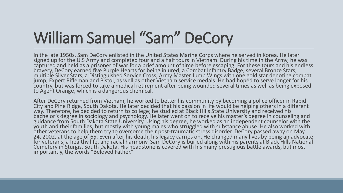# William Samuel "Sam" DeCory

In the late 1950s, Sam DeCory enlisted in the United States Marine Corps where he served in Korea. He later In the late 1950s, Sam DeCory enlisted in the United States Marine Corps where he served in Korea. He later<br>signed up for the U.S Army and completed four and a half tours in Vietnam. During his time in the Army, he was captured and held as a prisoner of war for a brief amount of time before escaping. For these tours and his endless multiple Silver Stars, a Distinguished Service Cross, Army Master Jump Wings with one gold star denoting combat<br>jump, Expert Rifleman and Pistol, as well as other Vietnam service medals. He had hoped to serve longer for hi to Agent Orange, which is a dangerous chemical.

After DeCory returned from Vietnam, he worked to better his community by becoming a police officer in Rapid City and Pine Ridge, South Dakota. He later decided that his passion in life would be helping others in a different<br>way. Therefore, he decided to return to college; he studied at Black Hills State University and received h bachelor's degree in sociology and psychology. He later went on to receive his master's degree in counseling and<br>guidance from South Dakota State University. Using his degree, he worked as an independent counselor with the youth and their families, but mostly with young males who struggled with substance abuse. He also worked with<br>other veterans to help them try to overcome their post-traumatic stress disorder. DeCory passed away on May other veterans to help them try to overcome their post-traumatic stress disorder. DeCory passed away on May<br>24, 2002, at the age of 65. Even after his death, his legacy carries on. He changed many lives by being an advocat importantly, the words "Beloved Father."